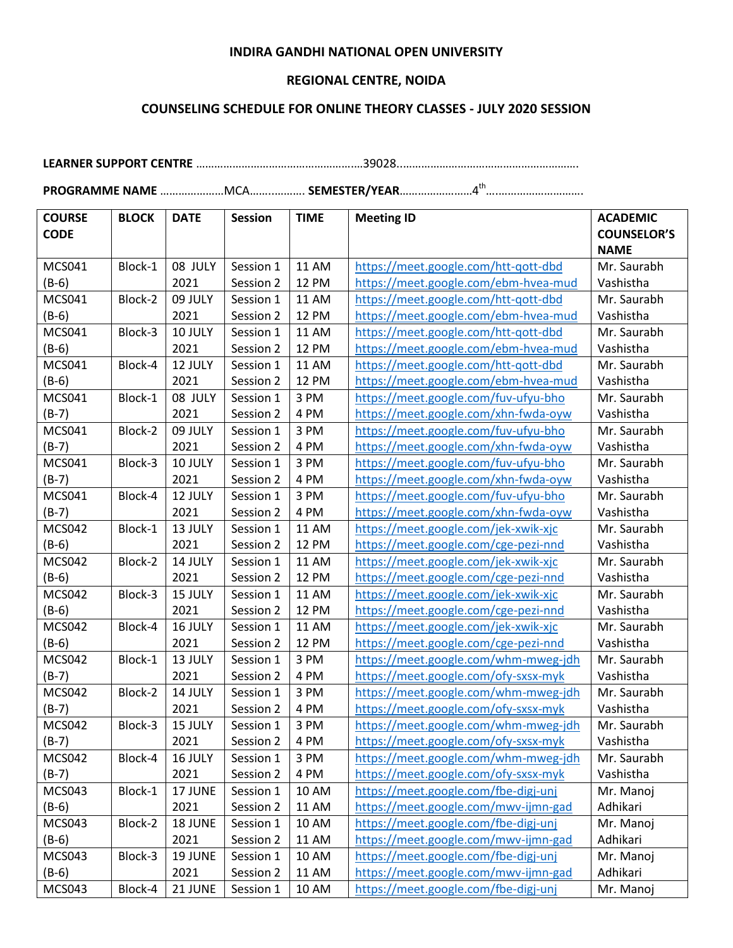## **INDIRA GANDHI NATIONAL OPEN UNIVERSITY**

## **REGIONAL CENTRE, NOIDA**

## **COUNSELING SCHEDULE FOR ONLINE THEORY CLASSES - JULY 2020 SESSION**

**LEARNER SUPPORT CENTRE** …………………………………………….…39028..………………………………………………….

**PROGRAMME NAME** …………………MCA……..………. **SEMESTER/YEAR**……………………4th….……………………….

| <b>COURSE</b> | <b>BLOCK</b> | <b>DATE</b> | <b>Session</b> | <b>TIME</b>  | <b>Meeting ID</b>                    | <b>ACADEMIC</b>    |
|---------------|--------------|-------------|----------------|--------------|--------------------------------------|--------------------|
| <b>CODE</b>   |              |             |                |              |                                      | <b>COUNSELOR'S</b> |
|               |              |             |                |              |                                      | <b>NAME</b>        |
| <b>MCS041</b> | Block-1      | 08 JULY     | Session 1      | <b>11 AM</b> | https://meet.google.com/htt-qott-dbd | Mr. Saurabh        |
| $(B-6)$       |              | 2021        | Session 2      | <b>12 PM</b> | https://meet.google.com/ebm-hvea-mud | Vashistha          |
| MCS041        | Block-2      | 09 JULY     | Session 1      | <b>11 AM</b> | https://meet.google.com/htt-qott-dbd | Mr. Saurabh        |
| $(B-6)$       |              | 2021        | Session 2      | <b>12 PM</b> | https://meet.google.com/ebm-hvea-mud | Vashistha          |
| MCS041        | Block-3      | 10 JULY     | Session 1      | <b>11 AM</b> | https://meet.google.com/htt-qott-dbd | Mr. Saurabh        |
| $(B-6)$       |              | 2021        | Session 2      | <b>12 PM</b> | https://meet.google.com/ebm-hvea-mud | Vashistha          |
| <b>MCS041</b> | Block-4      | 12 JULY     | Session 1      | <b>11 AM</b> | https://meet.google.com/htt-qott-dbd | Mr. Saurabh        |
| $(B-6)$       |              | 2021        | Session 2      | <b>12 PM</b> | https://meet.google.com/ebm-hvea-mud | Vashistha          |
| <b>MCS041</b> | Block-1      | 08 JULY     | Session 1      | 3 PM         | https://meet.google.com/fuv-ufyu-bho | Mr. Saurabh        |
| $(B-7)$       |              | 2021        | Session 2      | 4 PM         | https://meet.google.com/xhn-fwda-oyw | Vashistha          |
| MCS041        | Block-2      | 09 JULY     | Session 1      | 3 PM         | https://meet.google.com/fuv-ufyu-bho | Mr. Saurabh        |
| $(B-7)$       |              | 2021        | Session 2      | 4 PM         | https://meet.google.com/xhn-fwda-oyw | Vashistha          |
| MCS041        | Block-3      | 10 JULY     | Session 1      | 3 PM         | https://meet.google.com/fuv-ufyu-bho | Mr. Saurabh        |
| $(B-7)$       |              | 2021        | Session 2      | 4 PM         | https://meet.google.com/xhn-fwda-oyw | Vashistha          |
| MCS041        | Block-4      | 12 JULY     | Session 1      | 3 PM         | https://meet.google.com/fuv-ufyu-bho | Mr. Saurabh        |
| $(B-7)$       |              | 2021        | Session 2      | 4 PM         | https://meet.google.com/xhn-fwda-oyw | Vashistha          |
| <b>MCS042</b> | Block-1      | 13 JULY     | Session 1      | <b>11 AM</b> | https://meet.google.com/jek-xwik-xjc | Mr. Saurabh        |
| $(B-6)$       |              | 2021        | Session 2      | <b>12 PM</b> | https://meet.google.com/cge-pezi-nnd | Vashistha          |
| <b>MCS042</b> | Block-2      | 14 JULY     | Session 1      | <b>11 AM</b> | https://meet.google.com/jek-xwik-xjc | Mr. Saurabh        |
| $(B-6)$       |              | 2021        | Session 2      | <b>12 PM</b> | https://meet.google.com/cge-pezi-nnd | Vashistha          |
| <b>MCS042</b> | Block-3      | 15 JULY     | Session 1      | <b>11 AM</b> | https://meet.google.com/jek-xwik-xjc | Mr. Saurabh        |
| $(B-6)$       |              | 2021        | Session 2      | 12 PM        | https://meet.google.com/cge-pezi-nnd | Vashistha          |
| <b>MCS042</b> | Block-4      | 16 JULY     | Session 1      | <b>11 AM</b> | https://meet.google.com/jek-xwik-xjc | Mr. Saurabh        |
| $(B-6)$       |              | 2021        | Session 2      | 12 PM        | https://meet.google.com/cge-pezi-nnd | Vashistha          |
| <b>MCS042</b> | Block-1      | 13 JULY     | Session 1      | 3 PM         | https://meet.google.com/whm-mweg-jdh | Mr. Saurabh        |
| $(B-7)$       |              | 2021        | Session 2      | 4 PM         | https://meet.google.com/ofy-sxsx-myk | Vashistha          |
| <b>MCS042</b> | Block-2      | 14 JULY     | Session 1      | 3 PM         | https://meet.google.com/whm-mweg-jdh | Mr. Saurabh        |
| $(B-7)$       |              | 2021        | Session 2      | 4 PM         | https://meet.google.com/ofy-sxsx-myk | Vashistha          |
| <b>MCS042</b> | Block-3      | 15 JULY     | Session 1      | 3 PM         | https://meet.google.com/whm-mweg-jdh | Mr. Saurabh        |
| $(B-7)$       |              | 2021        | Session 2      | 4 PM         | https://meet.google.com/ofy-sxsx-myk | Vashistha          |
| <b>MCS042</b> | Block-4      | 16 JULY     | Session 1      | 3 PM         | https://meet.google.com/whm-mweg-jdh | Mr. Saurabh        |
| $(B-7)$       |              | 2021        | Session 2      | 4 PM         | https://meet.google.com/ofy-sxsx-myk | Vashistha          |
| <b>MCS043</b> | Block-1      | 17 JUNE     | Session 1      | <b>10 AM</b> | https://meet.google.com/fbe-digj-unj | Mr. Manoj          |
| $(B-6)$       |              | 2021        | Session 2      | <b>11 AM</b> | https://meet.google.com/mwv-ijmn-gad | Adhikari           |
| <b>MCS043</b> | Block-2      | 18 JUNE     | Session 1      | 10 AM        | https://meet.google.com/fbe-digj-unj | Mr. Manoj          |
| $(B-6)$       |              | 2021        | Session 2      | <b>11 AM</b> | https://meet.google.com/mwv-ijmn-gad | Adhikari           |
| <b>MCS043</b> | Block-3      | 19 JUNE     | Session 1      | <b>10 AM</b> | https://meet.google.com/fbe-digj-unj | Mr. Manoj          |
| $(B-6)$       |              | 2021        | Session 2      | <b>11 AM</b> | https://meet.google.com/mwv-ijmn-gad | Adhikari           |
| MCS043        | Block-4      | 21 JUNE     | Session 1      | 10 AM        | https://meet.google.com/fbe-digj-unj | Mr. Manoj          |